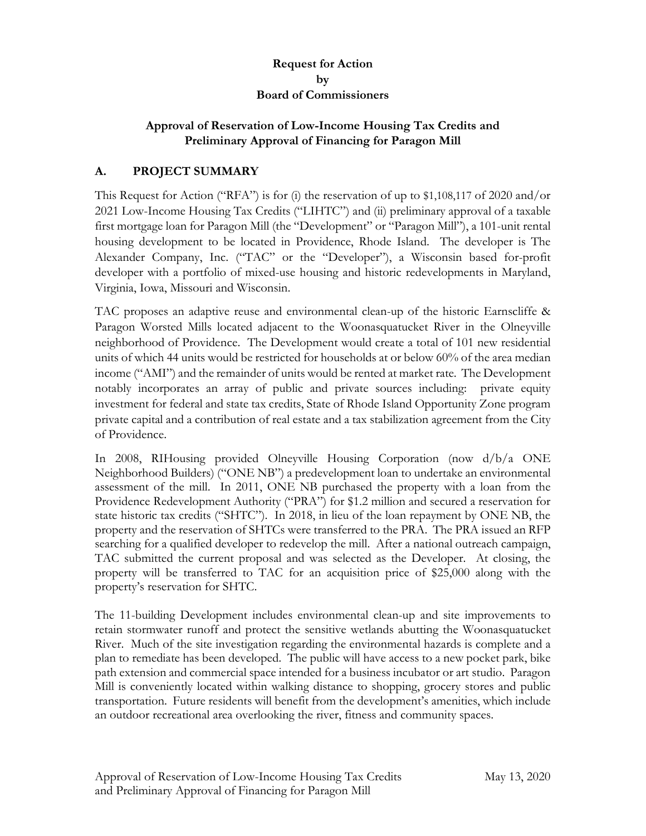## **Request for Action by Board of Commissioners**

### **Approval of Reservation of Low-Income Housing Tax Credits and Preliminary Approval of Financing for Paragon Mill**

# **A. PROJECT SUMMARY**

This Request for Action ("RFA") is for (i) the reservation of up to \$1,108,117 of 2020 and/or 2021 Low-Income Housing Tax Credits ("LIHTC") and (ii) preliminary approval of a taxable first mortgage loan for Paragon Mill (the "Development" or "Paragon Mill"), a 101-unit rental housing development to be located in Providence, Rhode Island. The developer is The Alexander Company, Inc. ("TAC" or the "Developer"), a Wisconsin based for-profit developer with a portfolio of mixed-use housing and historic redevelopments in Maryland, Virginia, Iowa, Missouri and Wisconsin.

TAC proposes an adaptive reuse and environmental clean-up of the historic Earnscliffe & Paragon Worsted Mills located adjacent to the Woonasquatucket River in the Olneyville neighborhood of Providence. The Development would create a total of 101 new residential units of which 44 units would be restricted for households at or below 60% of the area median income ("AMI") and the remainder of units would be rented at market rate. The Development notably incorporates an array of public and private sources including: private equity investment for federal and state tax credits, State of Rhode Island Opportunity Zone program private capital and a contribution of real estate and a tax stabilization agreement from the City of Providence.

In 2008, RIHousing provided Olneyville Housing Corporation (now d/b/a ONE Neighborhood Builders) ("ONE NB") a predevelopment loan to undertake an environmental assessment of the mill. In 2011, ONE NB purchased the property with a loan from the Providence Redevelopment Authority ("PRA") for \$1.2 million and secured a reservation for state historic tax credits ("SHTC"). In 2018, in lieu of the loan repayment by ONE NB, the property and the reservation of SHTCs were transferred to the PRA. The PRA issued an RFP searching for a qualified developer to redevelop the mill. After a national outreach campaign, TAC submitted the current proposal and was selected as the Developer. At closing, the property will be transferred to TAC for an acquisition price of \$25,000 along with the property's reservation for SHTC.

The 11-building Development includes environmental clean-up and site improvements to retain stormwater runoff and protect the sensitive wetlands abutting the Woonasquatucket River. Much of the site investigation regarding the environmental hazards is complete and a plan to remediate has been developed. The public will have access to a new pocket park, bike path extension and commercial space intended for a business incubator or art studio. Paragon Mill is conveniently located within walking distance to shopping, grocery stores and public transportation. Future residents will benefit from the development's amenities, which include an outdoor recreational area overlooking the river, fitness and community spaces.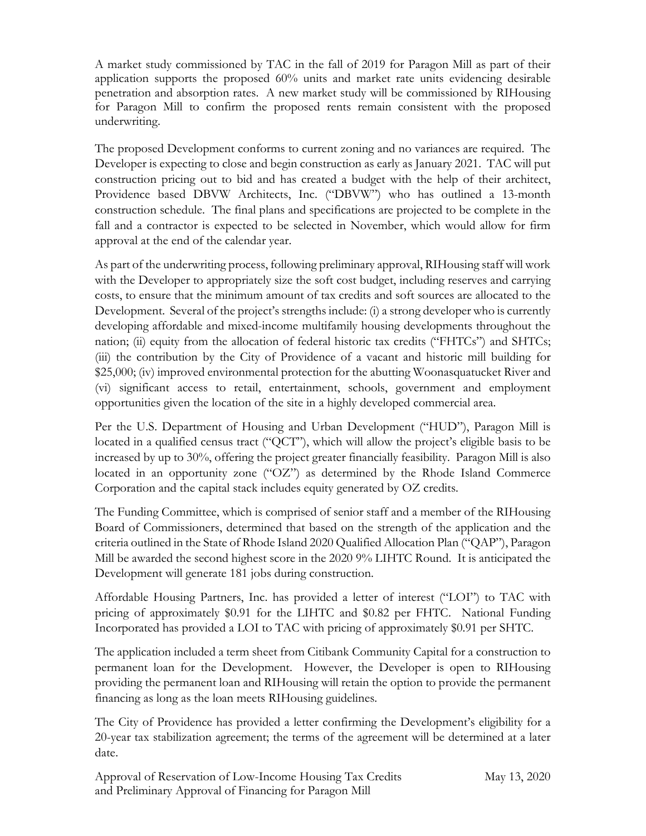A market study commissioned by TAC in the fall of 2019 for Paragon Mill as part of their application supports the proposed 60% units and market rate units evidencing desirable penetration and absorption rates. A new market study will be commissioned by RIHousing for Paragon Mill to confirm the proposed rents remain consistent with the proposed underwriting.

The proposed Development conforms to current zoning and no variances are required. The Developer is expecting to close and begin construction as early as January 2021. TAC will put construction pricing out to bid and has created a budget with the help of their architect, Providence based DBVW Architects, Inc. ("DBVW") who has outlined a 13-month construction schedule. The final plans and specifications are projected to be complete in the fall and a contractor is expected to be selected in November, which would allow for firm approval at the end of the calendar year.

As part of the underwriting process, following preliminary approval, RIHousing staff will work with the Developer to appropriately size the soft cost budget, including reserves and carrying costs, to ensure that the minimum amount of tax credits and soft sources are allocated to the Development. Several of the project's strengths include: (i) a strong developer who is currently developing affordable and mixed-income multifamily housing developments throughout the nation; (ii) equity from the allocation of federal historic tax credits ("FHTCs") and SHTCs; (iii) the contribution by the City of Providence of a vacant and historic mill building for \$25,000; (iv) improved environmental protection for the abutting Woonasquatucket River and (vi) significant access to retail, entertainment, schools, government and employment opportunities given the location of the site in a highly developed commercial area.

Per the U.S. Department of Housing and Urban Development ("HUD"), Paragon Mill is located in a qualified census tract ("QCT"), which will allow the project's eligible basis to be increased by up to 30%, offering the project greater financially feasibility. Paragon Mill is also located in an opportunity zone ("OZ") as determined by the Rhode Island Commerce Corporation and the capital stack includes equity generated by OZ credits.

The Funding Committee, which is comprised of senior staff and a member of the RIHousing Board of Commissioners, determined that based on the strength of the application and the criteria outlined in the State of Rhode Island 2020 Qualified Allocation Plan ("QAP"), Paragon Mill be awarded the second highest score in the 2020 9% LIHTC Round. It is anticipated the Development will generate 181 jobs during construction.

Affordable Housing Partners, Inc. has provided a letter of interest ("LOI") to TAC with pricing of approximately \$0.91 for the LIHTC and \$0.82 per FHTC. National Funding Incorporated has provided a LOI to TAC with pricing of approximately \$0.91 per SHTC.

The application included a term sheet from Citibank Community Capital for a construction to permanent loan for the Development. However, the Developer is open to RIHousing providing the permanent loan and RIHousing will retain the option to provide the permanent financing as long as the loan meets RIHousing guidelines.

The City of Providence has provided a letter confirming the Development's eligibility for a 20-year tax stabilization agreement; the terms of the agreement will be determined at a later date.

Approval of Reservation of Low-Income Housing Tax Credits May 13, 2020 and Preliminary Approval of Financing for Paragon Mill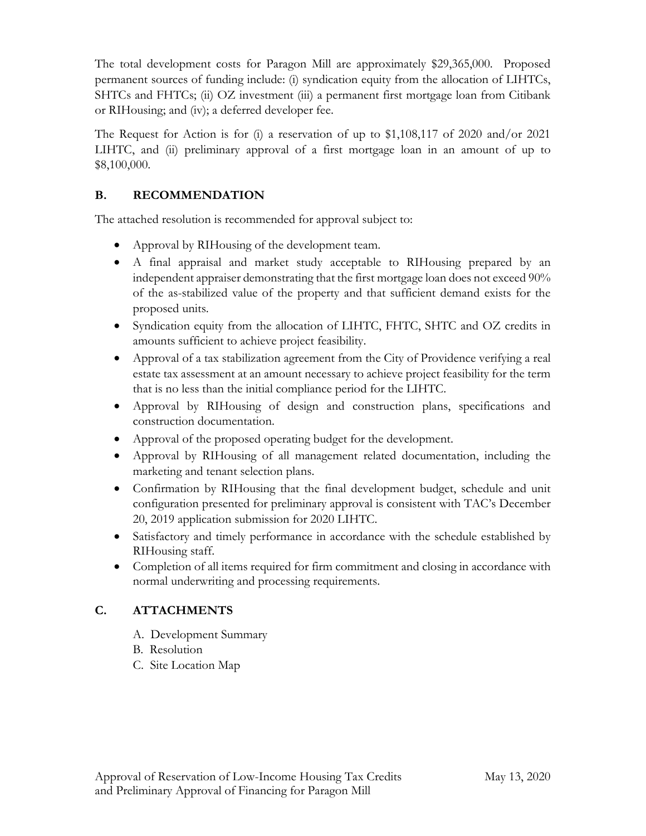The total development costs for Paragon Mill are approximately \$29,365,000. Proposed permanent sources of funding include: (i) syndication equity from the allocation of LIHTCs, SHTCs and FHTCs; (ii) OZ investment (iii) a permanent first mortgage loan from Citibank or RIHousing; and (iv); a deferred developer fee.

The Request for Action is for (i) a reservation of up to \$1,108,117 of 2020 and/or 2021 LIHTC, and (ii) preliminary approval of a first mortgage loan in an amount of up to \$8,100,000.

# **B. RECOMMENDATION**

The attached resolution is recommended for approval subject to:

- Approval by RIHousing of the development team.
- A final appraisal and market study acceptable to RIHousing prepared by an independent appraiser demonstrating that the first mortgage loan does not exceed 90% of the as-stabilized value of the property and that sufficient demand exists for the proposed units.
- Syndication equity from the allocation of LIHTC, FHTC, SHTC and OZ credits in amounts sufficient to achieve project feasibility.
- Approval of a tax stabilization agreement from the City of Providence verifying a real estate tax assessment at an amount necessary to achieve project feasibility for the term that is no less than the initial compliance period for the LIHTC.
- Approval by RIHousing of design and construction plans, specifications and construction documentation.
- Approval of the proposed operating budget for the development.
- Approval by RIHousing of all management related documentation, including the marketing and tenant selection plans.
- Confirmation by RIHousing that the final development budget, schedule and unit configuration presented for preliminary approval is consistent with TAC's December 20, 2019 application submission for 2020 LIHTC.
- Satisfactory and timely performance in accordance with the schedule established by RIHousing staff.
- Completion of all items required for firm commitment and closing in accordance with normal underwriting and processing requirements.

# **C. ATTACHMENTS**

- A. Development Summary
- B. Resolution
- C. Site Location Map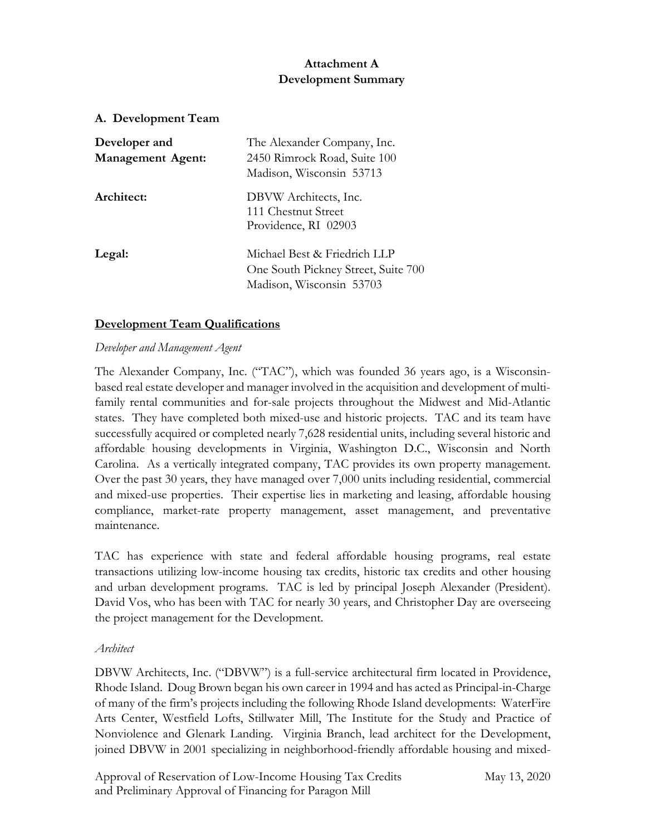## **Attachment A Development Summary**

#### **A. Development Team**

| Developer and<br><b>Management Agent:</b> | The Alexander Company, Inc.<br>2450 Rimrock Road, Suite 100<br>Madison, Wisconsin 53713         |
|-------------------------------------------|-------------------------------------------------------------------------------------------------|
| Architect:                                | DBVW Architects, Inc.<br>111 Chestnut Street<br>Providence, RI 02903                            |
| Legal:                                    | Michael Best & Friedrich LLP<br>One South Pickney Street, Suite 700<br>Madison, Wisconsin 53703 |

### **Development Team Qualifications**

### *Developer and Management Agent*

The Alexander Company, Inc. ("TAC"), which was founded 36 years ago, is a Wisconsinbased real estate developer and manager involved in the acquisition and development of multifamily rental communities and for-sale projects throughout the Midwest and Mid-Atlantic states. They have completed both mixed-use and historic projects. TAC and its team have successfully acquired or completed nearly 7,628 residential units, including several historic and affordable housing developments in Virginia, Washington D.C., Wisconsin and North Carolina. As a vertically integrated company, TAC provides its own property management. Over the past 30 years, they have managed over 7,000 units including residential, commercial and mixed-use properties. Their expertise lies in marketing and leasing, affordable housing compliance, market-rate property management, asset management, and preventative maintenance.

TAC has experience with state and federal affordable housing programs, real estate transactions utilizing low-income housing tax credits, historic tax credits and other housing and urban development programs. TAC is led by principal Joseph Alexander (President). David Vos, who has been with TAC for nearly 30 years, and Christopher Day are overseeing the project management for the Development.

#### *Architect*

DBVW Architects, Inc. ("DBVW") is a full-service architectural firm located in Providence, Rhode Island. Doug Brown began his own career in 1994 and has acted as Principal-in-Charge of many of the firm's projects including the following Rhode Island developments: WaterFire Arts Center, Westfield Lofts, Stillwater Mill, The Institute for the Study and Practice of Nonviolence and Glenark Landing. Virginia Branch, lead architect for the Development, joined DBVW in 2001 specializing in neighborhood-friendly affordable housing and mixed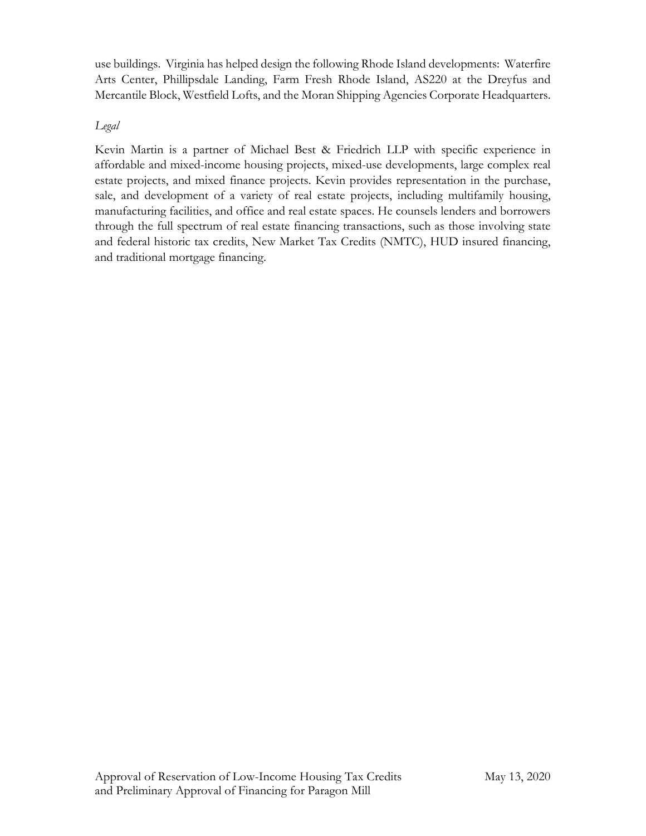use buildings. Virginia has helped design the following Rhode Island developments: Waterfire Arts Center, Phillipsdale Landing, Farm Fresh Rhode Island, AS220 at the Dreyfus and Mercantile Block, Westfield Lofts, and the Moran Shipping Agencies Corporate Headquarters.

## *Legal*

Kevin Martin is a partner of Michael Best & Friedrich LLP with specific experience in affordable and mixed-income housing projects, mixed-use developments, large complex real estate projects, and mixed finance projects. Kevin provides representation in the purchase, sale, and development of a variety of real estate projects, including multifamily housing, manufacturing facilities, and office and real estate spaces. He counsels lenders and borrowers through the full spectrum of real estate financing transactions, such as those involving state and federal historic tax credits, New Market Tax Credits (NMTC), HUD insured financing, and traditional mortgage financing.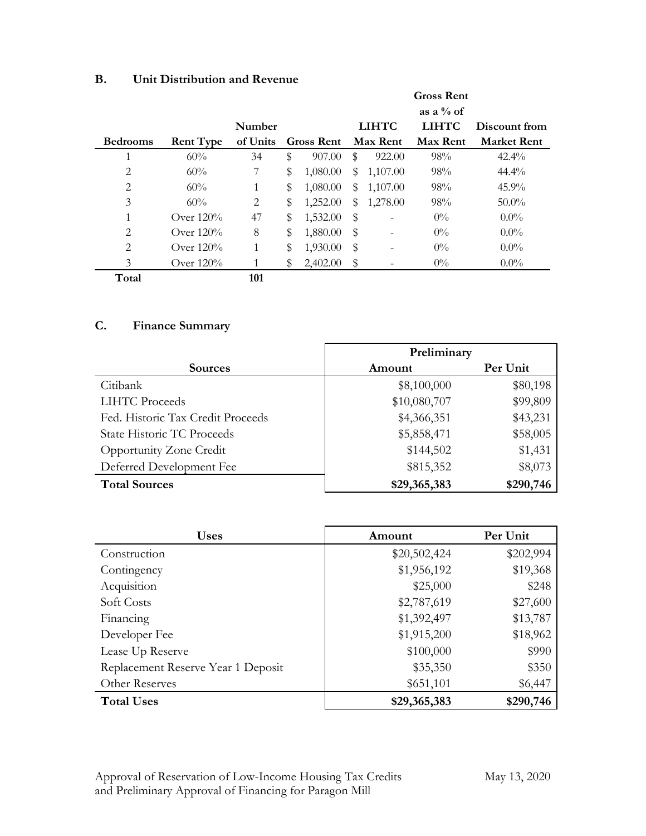| B. | Unit Distribution and Revenue |  |
|----|-------------------------------|--|
|    |                               |  |

|                 |                  |          |                   | <b>Gross Rent</b> |                 |                 |                    |
|-----------------|------------------|----------|-------------------|-------------------|-----------------|-----------------|--------------------|
|                 |                  |          |                   |                   |                 | as a $\%$ of    |                    |
|                 |                  | Number   |                   |                   | <b>LIHTC</b>    | <b>LIHTC</b>    | Discount from      |
| <b>Bedrooms</b> | <b>Rent Type</b> | of Units | <b>Gross Rent</b> |                   | <b>Max Rent</b> | <b>Max Rent</b> | <b>Market Rent</b> |
|                 | 60%              | 34       | \$<br>907.00      | S                 | 922.00          | 98%             | $42.4\%$           |
| $\overline{2}$  | 60%              | 7        | \$<br>1,080.00    | \$                | 1,107.00        | 98%             | $44.4\%$           |
| $\overline{2}$  | 60%              | 1        | \$<br>1,080.00    | \$                | 1,107.00        | 98%             | $45.9\%$           |
| 3               | 60%              | 2        | \$<br>1,252.00    | $\mathbb{S}$      | 1,278.00        | 98%             | $50.0\%$           |
| 1               | Over $120%$      | 47       | \$<br>1,532.00    | \$                |                 | $0\%$           | $0.0\%$            |
| $\overline{2}$  | Over $120%$      | 8        | \$<br>1,880.00    | \$                |                 | $0\%$           | $0.0\%$            |
| $\overline{2}$  | Over $120%$      | 1        | \$<br>1,930.00    | \$                |                 | $0\%$           | $0.0\%$            |
| 3               | Over $120\%$     | 1        | \$<br>2,402.00    | \$                |                 | $0\%$           | $0.0\%$            |
| Total           |                  | 101      |                   |                   |                 |                 |                    |

# **C. Finance Summary**

|                                   | Preliminary  |           |  |
|-----------------------------------|--------------|-----------|--|
| <b>Sources</b>                    | Amount       | Per Unit  |  |
| Citibank                          | \$8,100,000  | \$80,198  |  |
| <b>LIHTC</b> Proceeds             | \$10,080,707 | \$99,809  |  |
| Fed. Historic Tax Credit Proceeds | \$4,366,351  | \$43,231  |  |
| State Historic TC Proceeds        | \$5,858,471  | \$58,005  |  |
| <b>Opportunity Zone Credit</b>    | \$144,502    | \$1,431   |  |
| Deferred Development Fee          | \$815,352    | \$8,073   |  |
| <b>Total Sources</b>              | \$29,365,383 | \$290,746 |  |

| <b>Uses</b>                        | Amount       | Per Unit  |
|------------------------------------|--------------|-----------|
| Construction                       | \$20,502,424 | \$202,994 |
| Contingency                        | \$1,956,192  | \$19,368  |
| Acquisition                        | \$25,000     | \$248     |
| Soft Costs                         | \$2,787,619  | \$27,600  |
| Financing                          | \$1,392,497  | \$13,787  |
| Developer Fee                      | \$1,915,200  | \$18,962  |
| Lease Up Reserve                   | \$100,000    | \$990     |
| Replacement Reserve Year 1 Deposit | \$35,350     | \$350     |
| Other Reserves                     | \$651,101    | \$6,447   |
| <b>Total Uses</b>                  | \$29,365,383 | \$290,746 |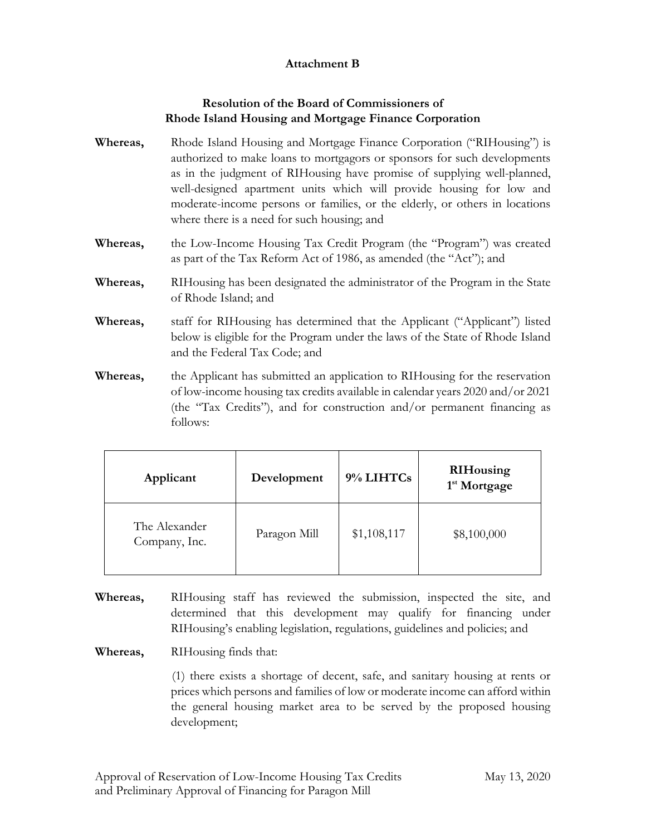## **Attachment B**

## **Resolution of the Board of Commissioners of Rhode Island Housing and Mortgage Finance Corporation**

- **Whereas,** Rhode Island Housing and Mortgage Finance Corporation ("RIHousing") is authorized to make loans to mortgagors or sponsors for such developments as in the judgment of RIHousing have promise of supplying well-planned, well-designed apartment units which will provide housing for low and moderate-income persons or families, or the elderly, or others in locations where there is a need for such housing; and
- **Whereas,** the Low-Income Housing Tax Credit Program (the "Program") was created as part of the Tax Reform Act of 1986, as amended (the "Act"); and
- **Whereas,** RIHousing has been designated the administrator of the Program in the State of Rhode Island; and
- **Whereas,** staff for RIHousing has determined that the Applicant ("Applicant") listed below is eligible for the Program under the laws of the State of Rhode Island and the Federal Tax Code; and
- **Whereas,** the Applicant has submitted an application to RIHousing for the reservation of low-income housing tax credits available in calendar years 2020 and/or 2021 (the "Tax Credits"), and for construction and/or permanent financing as follows:

| Applicant                      | Development  | 9% LIHTCs   | <b>RIHousing</b><br>1 <sup>st</sup> Mortgage |
|--------------------------------|--------------|-------------|----------------------------------------------|
| The Alexander<br>Company, Inc. | Paragon Mill | \$1,108,117 | \$8,100,000                                  |

**Whereas,** RIHousing staff has reviewed the submission, inspected the site, and determined that this development may qualify for financing under RIHousing's enabling legislation, regulations, guidelines and policies; and

**Whereas,** RIHousing finds that:

(1) there exists a shortage of decent, safe, and sanitary housing at rents or prices which persons and families of low or moderate income can afford within the general housing market area to be served by the proposed housing development;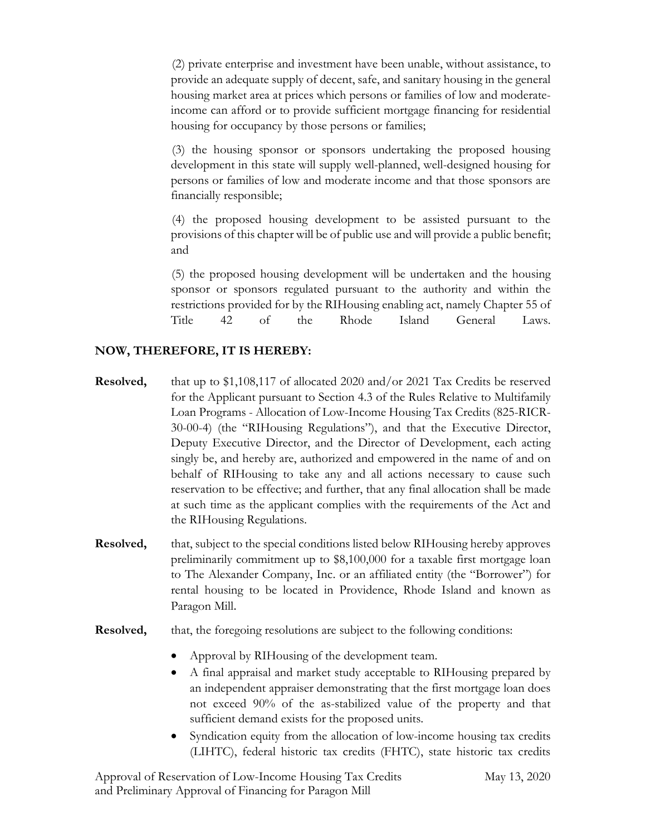(2) private enterprise and investment have been unable, without assistance, to provide an adequate supply of decent, safe, and sanitary housing in the general housing market area at prices which persons or families of low and moderateincome can afford or to provide sufficient mortgage financing for residential housing for occupancy by those persons or families;

(3) the housing sponsor or sponsors undertaking the proposed housing development in this state will supply well-planned, well-designed housing for persons or families of low and moderate income and that those sponsors are financially responsible;

(4) the proposed housing development to be assisted pursuant to the provisions of this chapter will be of public use and will provide a public benefit; and

(5) the proposed housing development will be undertaken and the housing sponsor or sponsors regulated pursuant to the authority and within the restrictions provided for by the RIHousing enabling act, namely Chapter 55 of Title 42 of the Rhode Island General Laws.

### **NOW, THEREFORE, IT IS HEREBY:**

- **Resolved,** that up to \$1,108,117 of allocated 2020 and/or 2021 Tax Credits be reserved for the Applicant pursuant to Section 4.3 of the Rules Relative to Multifamily Loan Programs - Allocation of Low-Income Housing Tax Credits (825-RICR-30-00-4) (the "RIHousing Regulations"), and that the Executive Director, Deputy Executive Director, and the Director of Development, each acting singly be, and hereby are, authorized and empowered in the name of and on behalf of RIHousing to take any and all actions necessary to cause such reservation to be effective; and further, that any final allocation shall be made at such time as the applicant complies with the requirements of the Act and the RIHousing Regulations.
- **Resolved,** that, subject to the special conditions listed below RIHousing hereby approves preliminarily commitment up to \$8,100,000 for a taxable first mortgage loan to The Alexander Company, Inc. or an affiliated entity (the "Borrower") for rental housing to be located in Providence, Rhode Island and known as Paragon Mill.
- **Resolved,** that, the foregoing resolutions are subject to the following conditions:
	- Approval by RIHousing of the development team.
	- A final appraisal and market study acceptable to RIHousing prepared by an independent appraiser demonstrating that the first mortgage loan does not exceed 90% of the as-stabilized value of the property and that sufficient demand exists for the proposed units.
	- Syndication equity from the allocation of low-income housing tax credits (LIHTC), federal historic tax credits (FHTC), state historic tax credits

Approval of Reservation of Low-Income Housing Tax Credits May 13, 2020 and Preliminary Approval of Financing for Paragon Mill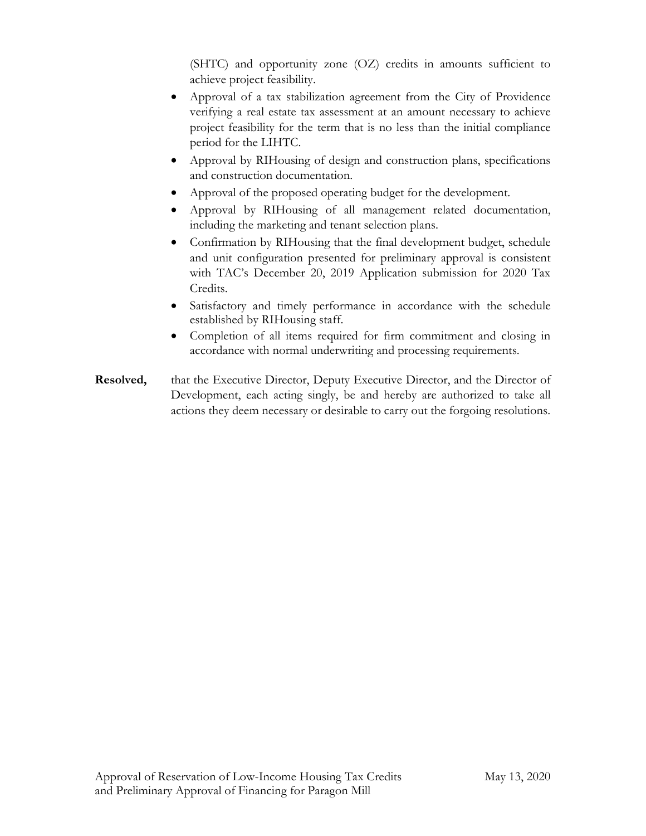(SHTC) and opportunity zone (OZ) credits in amounts sufficient to achieve project feasibility.

- Approval of a tax stabilization agreement from the City of Providence verifying a real estate tax assessment at an amount necessary to achieve project feasibility for the term that is no less than the initial compliance period for the LIHTC.
- Approval by RIHousing of design and construction plans, specifications and construction documentation.
- Approval of the proposed operating budget for the development.
- Approval by RIHousing of all management related documentation, including the marketing and tenant selection plans.
- Confirmation by RIHousing that the final development budget, schedule and unit configuration presented for preliminary approval is consistent with TAC's December 20, 2019 Application submission for 2020 Tax Credits.
- Satisfactory and timely performance in accordance with the schedule established by RIHousing staff.
- Completion of all items required for firm commitment and closing in accordance with normal underwriting and processing requirements.
- **Resolved,** that the Executive Director, Deputy Executive Director, and the Director of Development, each acting singly, be and hereby are authorized to take all actions they deem necessary or desirable to carry out the forgoing resolutions.